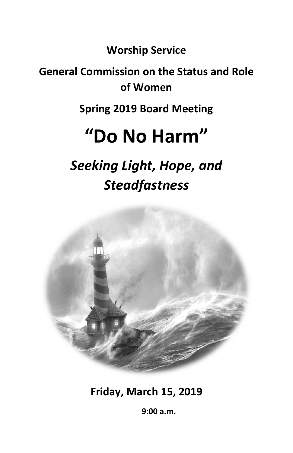**Worship Service**

# **General Commission on the Status and Role of Women**

**Spring 2019 Board Meeting**

# **"Do No Harm"**

*Seeking Light, Hope, and Steadfastness*



**Friday, March 15, 2019**

 **9:00 a.m.**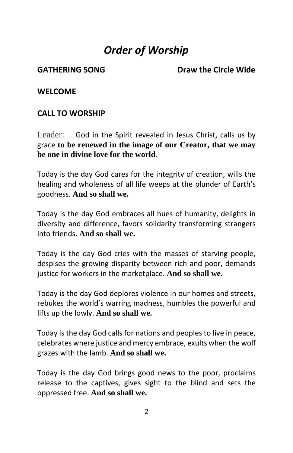# *Order of Worship*

GATHERING SONG **Draw the Circle Wide** 

**WELCOME** 

## **CALL TO WORSHIP**

Leader: God in the Spirit revealed in Jesus Christ, calls us by grace **to be renewed in the image of our Creator, that we may be one in divine love for the world.** 

Today is the day God cares for the integrity of creation, wills the healing and wholeness of all life weeps at the plunder of Earth's goodness. **And so shall we.**

Today is the day God embraces all hues of humanity, delights in diversity and difference, favors solidarity transforming strangers into friends. **And so shall we.** 

Today is the day God cries with the masses of starving people, despises the growing disparity between rich and poor, demands justice for workers in the marketplace. **And so shall we.** 

Today is the day God deplores violence in our homes and streets, rebukes the world's warring madness, humbles the powerful and lifts up the lowly. **And so shall we.** 

Today is the day God calls for nations and peoples to live in peace, celebrates where justice and mercy embrace, exults when the wolf grazes with the lamb. **And so shall we.** 

Today is the day God brings good news to the poor, proclaims release to the captives, gives sight to the blind and sets the oppressed free. **And so shall we.**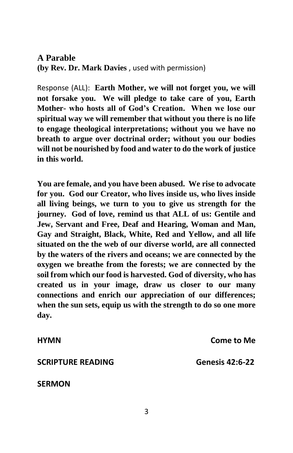**A Parable (by Rev. Dr. Mark Davies** , used with permission)

Response (ALL): **Earth Mother, we will not forget you, we will not forsake you. We will pledge to take care of you, Earth Mother- who hosts all of God's Creation. When we lose our spiritual way we will remember that without you there is no life to engage theological interpretations; without you we have no breath to argue over doctrinal order; without you our bodies will not be nourished by food and water to do the work of justice in this world.** 

**You are female, and you have been abused. We rise to advocate for you. God our Creator, who lives inside us, who lives inside all living beings, we turn to you to give us strength for the journey. God of love, remind us that ALL of us: Gentile and Jew, Servant and Free, Deaf and Hearing, Woman and Man, Gay and Straight, Black, White, Red and Yellow, and all life situated on the the web of our diverse world, are all connected by the waters of the rivers and oceans; we are connected by the oxygen we breathe from the forests; we are connected by the soil from which our food is harvested. God of diversity, who has created us in your image, draw us closer to our many connections and enrich our appreciation of our differences; when the sun sets, equip us with the strength to do so one more day.** 

**HYMN Come to Me SCRIPTURE READING Genesis 42:6-22 SERMON**